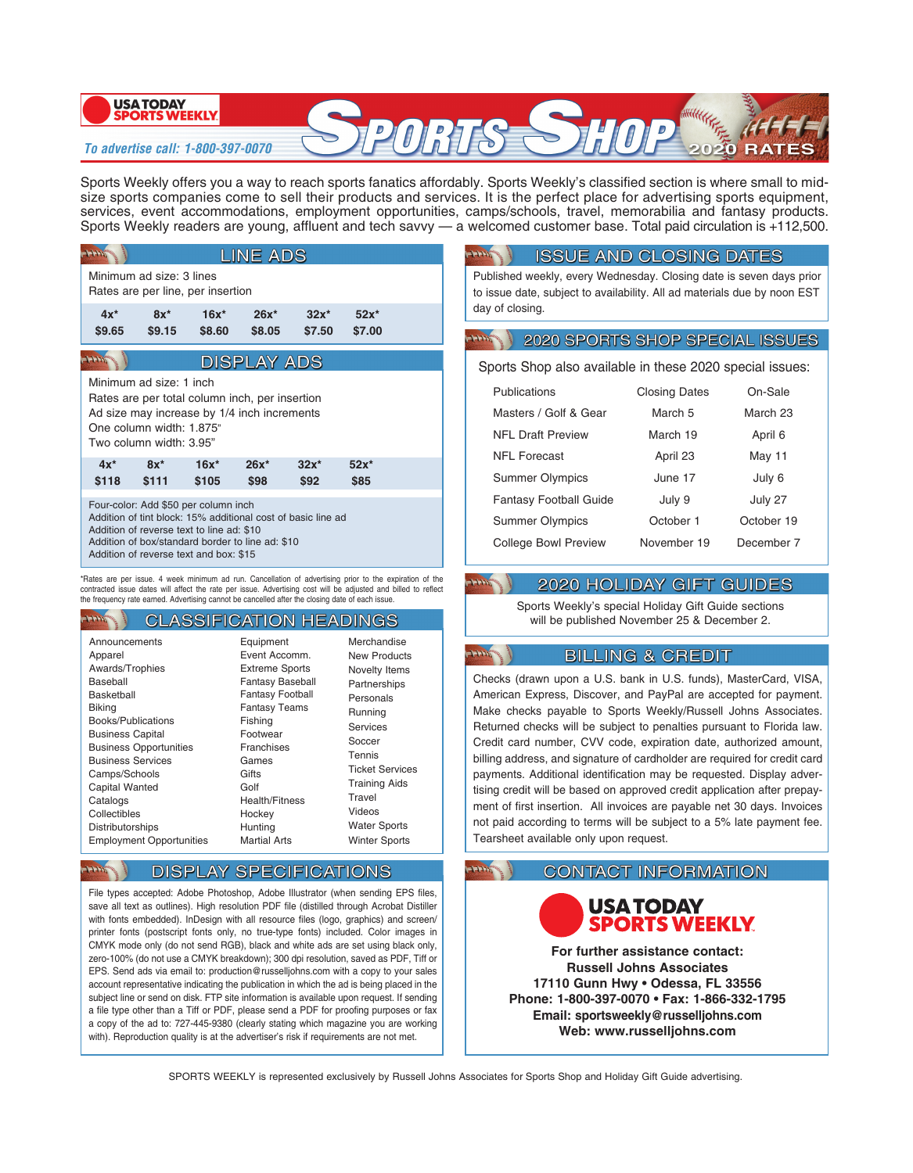#### **USA TODAY SPORTS WEEKLY**

## **To advertise call: 1-800-397-0070**

Sports Weekly offers you a way to reach sports fanatics affordably. Sports Weekly's classified section is where small to midsize sports companies come to sell their products and services. It is the perfect place for advertising sports equipment, services, event accommodations, employment opportunities, camps/schools, travel, memorabilia and fantasy products. Sports Weekly readers are young, affluent and tech savvy — a welcomed customer base. Total paid circulation is +112,500.

| <b>LINE ADS</b>                                                                                                                                                                                                                                 |                  |                   |                    |                   |                  |  |  |  |
|-------------------------------------------------------------------------------------------------------------------------------------------------------------------------------------------------------------------------------------------------|------------------|-------------------|--------------------|-------------------|------------------|--|--|--|
| Minimum ad size: 3 lines<br>Rates are per line, per insertion                                                                                                                                                                                   |                  |                   |                    |                   |                  |  |  |  |
| $4x^*$<br>\$9.65                                                                                                                                                                                                                                | $8x^*$<br>\$9.15 | $16x^*$<br>\$8.60 | $26x^*$<br>\$8.05  | $32x^*$<br>\$7.50 | $52x*$<br>\$7.00 |  |  |  |
|                                                                                                                                                                                                                                                 |                  |                   | <b>DISPLAY ADS</b> |                   |                  |  |  |  |
| Minimum ad size: 1 inch<br>Rates are per total column inch, per insertion<br>Ad size may increase by 1/4 inch increments<br>One column width: 1.875"<br>Two column width: 3.95"                                                                 |                  |                   |                    |                   |                  |  |  |  |
| $4x^*$<br>\$118                                                                                                                                                                                                                                 | $8x^*$<br>\$111  | $16x^*$<br>\$105  | $26x^*$<br>\$98    | $32x^*$<br>\$92   | $52x*$<br>\$85   |  |  |  |
| Four-color: Add \$50 per column inch<br>Addition of tint block: 15% additional cost of basic line ad<br>Addition of reverse text to line ad: \$10<br>Addition of box/standard border to line ad: \$10<br>Addition of reverse text and box: \$15 |                  |                   |                    |                   |                  |  |  |  |

\*Rates are per issue. 4 week minimum ad run. Cancellation of advertising prior to the expiration of the contracted issue dates will affect the rate per issue. Advertising cost will be adjusted and billed to reflect the frequency rate earned. Advertising cannot be cancelled after the closing date of each issue.

#### **CLASSIFICATION HEADINGS Address**

| Announcements<br>Apparel<br>Awards/Trophies<br>Baseball<br>Basketball<br><b>Biking</b><br>Books/Publications<br><b>Business Capital</b><br><b>Business Opportunities</b><br><b>Business Services</b> | Equipment<br>Event Accomm.<br><b>Extreme Sports</b><br><b>Fantasy Baseball</b><br><b>Fantasy Football</b><br><b>Fantasy Teams</b><br>Fishing<br>Footwear<br>Franchises<br>Games<br>Gifts<br>Golf<br><b>Health/Fitness</b><br>Hockey<br>Hunting<br><b>Martial Arts</b> | Merchandise<br>New Products<br>Novelty Items<br>Partnerships<br>Personals<br>Running<br>Services<br>Soccer<br>Tennis<br><b>Ticket Services</b><br><b>Training Aids</b><br>Travel<br>Videos<br><b>Water Sports</b><br><b>Winter Sports</b> |
|------------------------------------------------------------------------------------------------------------------------------------------------------------------------------------------------------|-----------------------------------------------------------------------------------------------------------------------------------------------------------------------------------------------------------------------------------------------------------------------|-------------------------------------------------------------------------------------------------------------------------------------------------------------------------------------------------------------------------------------------|
| Camps/Schools<br><b>Capital Wanted</b><br>Catalogs<br>Collectibles<br>Distributorships<br><b>Employment Opportunities</b>                                                                            |                                                                                                                                                                                                                                                                       |                                                                                                                                                                                                                                           |

# **DISPLAY SPECIFICATIONS**

 $4 + 4 + \sqrt{2}$ 

File types accepted: Adobe Photoshop, Adobe Illustrator (when sending EPS files, save all text as outlines). High resolution PDF file (distilled through Acrobat Distiller with fonts embedded). InDesign with all resource files (logo, graphics) and screen/ printer fonts (postscript fonts only, no true-type fonts) included. Color images in CMYK mode only (do not send RGB), black and white ads are set using black only, zero-100% (do not use a CMYK breakdown); 300 dpi resolution, saved as PDF, Tiff or EPS. Send ads via email to: production@russelljohns.com with a copy to your sales account representative indicating the publication in which the ad is being placed in the subject line or send on disk. FTP site information is available upon request. If sending a file type other than a Tiff or PDF, please send a PDF for proofing purposes or fax a copy of the ad to: 727-445-9380 (clearly stating which magazine you are working with). Reproduction quality is at the advertiser's risk if requirements are not met.

## **ISSUE AND CLOSING DATES**

Published weekly, every Wednesday. Closing date is seven days prior to issue date, subject to availability. All ad materials due by noon EST day of closing.

#### **2020 SPORTS SHOP SPECIAL ISSUES HHH**

Sports Shop also available in these 2020 special issues:

| Publications                  | <b>Closing Dates</b> | On-Sale    |  |
|-------------------------------|----------------------|------------|--|
| Masters / Golf & Gear         | March 5              | March 23   |  |
| <b>NFI Draft Preview</b>      | March 19             | April 6    |  |
| NFL Forecast                  | April 23             | May 11     |  |
| <b>Summer Olympics</b>        | June 17              | July 6     |  |
| <b>Fantasy Football Guide</b> | July 9               | July 27    |  |
| <b>Summer Olympics</b>        | October 1            | October 19 |  |
| College Bowl Preview          | November 19          | December 7 |  |

# **2020 HOLIDAY GIFT GUIDES**

 $+ + +$ 

**HHH** 

Sports Weekly's special Holiday Gift Guide sections will be published November 25 & December 2.

# **BILLING & CREDIT**

Checks (drawn upon a U.S. bank in U.S. funds), MasterCard, VISA, American Express, Discover, and PayPal are accepted for payment. Make checks payable to Sports Weekly/Russell Johns Associates. Returned checks will be subject to penalties pursuant to Florida law. Credit card number, CVV code, expiration date, authorized amount, billing address, and signature of cardholder are required for credit card payments. Additional identification may be requested. Display advertising credit will be based on approved credit application after prepayment of first insertion. All invoices are payable net 30 days. Invoices not paid according to terms will be subject to a 5% late payment fee. Tearsheet available only upon request.

## **CONTACT INFORMATION**



**For further assistance contact: Russell Johns Associates 17110 Gunn Hwy • Odessa, FL 33556 Phone: 1-800-397-0070 • Fax: 1-866-332-1795 Email: sportsweekly@russelljohns.com Web: www.russelljohns.com**

SPORTS WEEKLY is represented exclusively by Russell Johns Associates for Sports Shop and Holiday Gift Guide advertising.